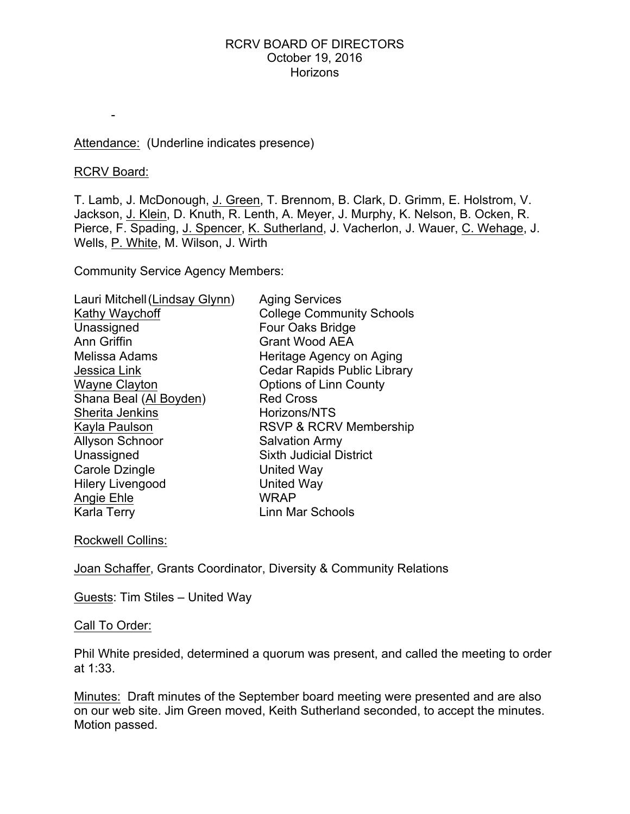## Attendance: (Underline indicates presence)

### RCRV Board:

-

T. Lamb, J. McDonough, J. Green, T. Brennom, B. Clark, D. Grimm, E. Holstrom, V. Jackson, J. Klein, D. Knuth, R. Lenth, A. Meyer, J. Murphy, K. Nelson, B. Ocken, R. Pierce, F. Spading, J. Spencer, K. Sutherland, J. Vacherlon, J. Wauer, C. Wehage, J. Wells, P. White, M. Wilson, J. Wirth

Community Service Agency Members:

| Lauri Mitchell (Lindsay Glynn) | <b>Aging Services</b>              |
|--------------------------------|------------------------------------|
| Kathy Waychoff                 | <b>College Community Schools</b>   |
| Unassigned                     | <b>Four Oaks Bridge</b>            |
| Ann Griffin                    | <b>Grant Wood AEA</b>              |
| Melissa Adams                  | Heritage Agency on Aging           |
| Jessica Link                   | <b>Cedar Rapids Public Library</b> |
| <b>Wayne Clayton</b>           | <b>Options of Linn County</b>      |
| Shana Beal (Al Boyden)         | <b>Red Cross</b>                   |
| Sherita Jenkins                | Horizons/NTS                       |
| Kayla Paulson                  | <b>RSVP &amp; RCRV Membership</b>  |
| <b>Allyson Schnoor</b>         | <b>Salvation Army</b>              |
| Unassigned                     | <b>Sixth Judicial District</b>     |
| Carole Dzingle                 | United Way                         |
| <b>Hilery Livengood</b>        | <b>United Way</b>                  |
| Angie Ehle                     | <b>WRAP</b>                        |
| Karla Terry                    | Linn Mar Schools                   |
|                                |                                    |

Rockwell Collins:

Joan Schaffer, Grants Coordinator, Diversity & Community Relations

Guests: Tim Stiles – United Way

### Call To Order:

Phil White presided, determined a quorum was present, and called the meeting to order at 1:33.

Minutes: Draft minutes of the September board meeting were presented and are also on our web site. Jim Green moved, Keith Sutherland seconded, to accept the minutes. Motion passed.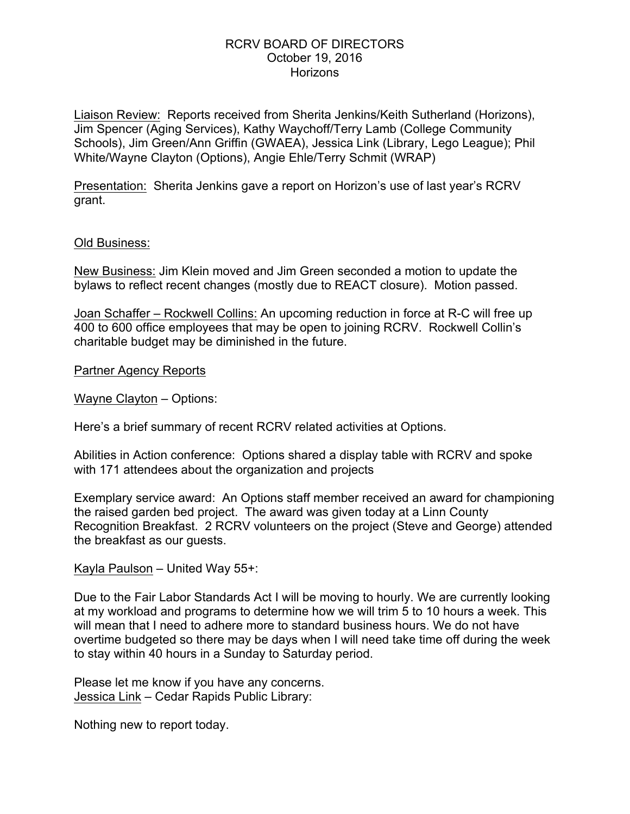Liaison Review: Reports received from Sherita Jenkins/Keith Sutherland (Horizons), Jim Spencer (Aging Services), Kathy Waychoff/Terry Lamb (College Community Schools), Jim Green/Ann Griffin (GWAEA), Jessica Link (Library, Lego League); Phil White/Wayne Clayton (Options), Angie Ehle/Terry Schmit (WRAP)

Presentation: Sherita Jenkins gave a report on Horizon's use of last year's RCRV grant.

## Old Business:

New Business: Jim Klein moved and Jim Green seconded a motion to update the bylaws to reflect recent changes (mostly due to REACT closure). Motion passed.

Joan Schaffer – Rockwell Collins: An upcoming reduction in force at R-C will free up 400 to 600 office employees that may be open to joining RCRV. Rockwell Collin's charitable budget may be diminished in the future.

Partner Agency Reports

Wayne Clayton – Options:

Here's a brief summary of recent RCRV related activities at Options.

Abilities in Action conference: Options shared a display table with RCRV and spoke with 171 attendees about the organization and projects

Exemplary service award: An Options staff member received an award for championing the raised garden bed project. The award was given today at a Linn County Recognition Breakfast. 2 RCRV volunteers on the project (Steve and George) attended the breakfast as our guests.

Kayla Paulson – United Way 55+:

Due to the Fair Labor Standards Act I will be moving to hourly. We are currently looking at my workload and programs to determine how we will trim 5 to 10 hours a week. This will mean that I need to adhere more to standard business hours. We do not have overtime budgeted so there may be days when I will need take time off during the week to stay within 40 hours in a Sunday to Saturday period.

Please let me know if you have any concerns. Jessica Link – Cedar Rapids Public Library:

Nothing new to report today.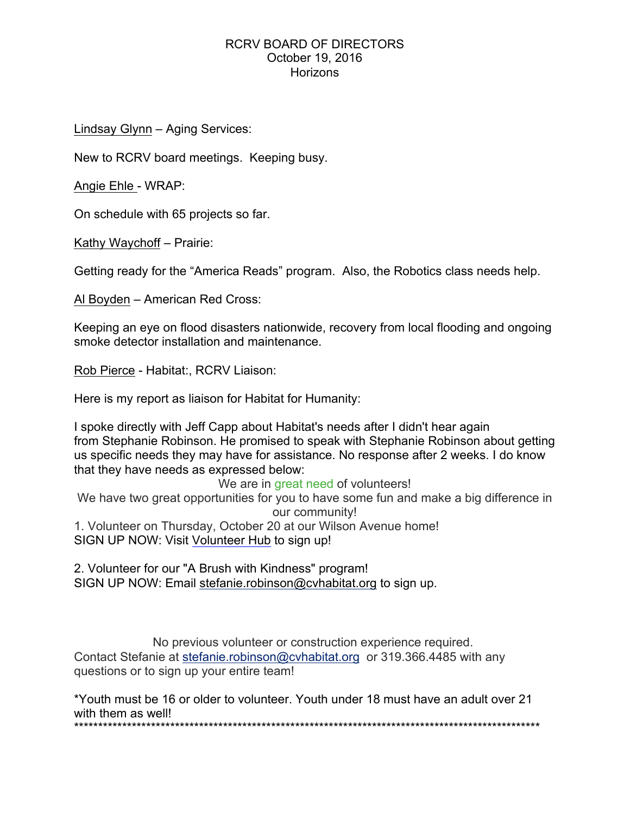Lindsay Glynn – Aging Services:

New to RCRV board meetings. Keeping busy.

Angie Ehle - WRAP:

On schedule with 65 projects so far.

Kathy Waychoff – Prairie:

Getting ready for the "America Reads" program. Also, the Robotics class needs help.

Al Boyden – American Red Cross:

Keeping an eye on flood disasters nationwide, recovery from local flooding and ongoing smoke detector installation and maintenance.

Rob Pierce - Habitat:, RCRV Liaison:

Here is my report as liaison for Habitat for Humanity:

I spoke directly with Jeff Capp about Habitat's needs after I didn't hear again from Stephanie Robinson. He promised to speak with Stephanie Robinson about getting us specific needs they may have for assistance. No response after 2 weeks. I do know that they have needs as expressed below:

We are in great need of volunteers!

We have two great opportunities for you to have some fun and make a big difference in our community! 1. Volunteer on Thursday, October 20 at our Wilson Avenue home!

SIGN UP NOW: Visit Volunteer Hub to sign up!

2. Volunteer for our "A Brush with Kindness" program! SIGN UP NOW: Email stefanie.robinson@cvhabitat.org to sign up.

No previous volunteer or construction experience required. Contact Stefanie at stefanie.robinson@cvhabitat.org or 319.366.4485 with any questions or to sign up your entire team!

\*Youth must be 16 or older to volunteer. Youth under 18 must have an adult over 21 with them as well! \*\*\*\*\*\*\*\*\*\*\*\*\*\*\*\*\*\*\*\*\*\*\*\*\*\*\*\*\*\*\*\*\*\*\*\*\*\*\*\*\*\*\*\*\*\*\*\*\*\*\*\*\*\*\*\*\*\*\*\*\*\*\*\*\*\*\*\*\*\*\*\*\*\*\*\*\*\*\*\*\*\*\*\*\*\*\*\*\*\*\*\*\*\*\*\*\*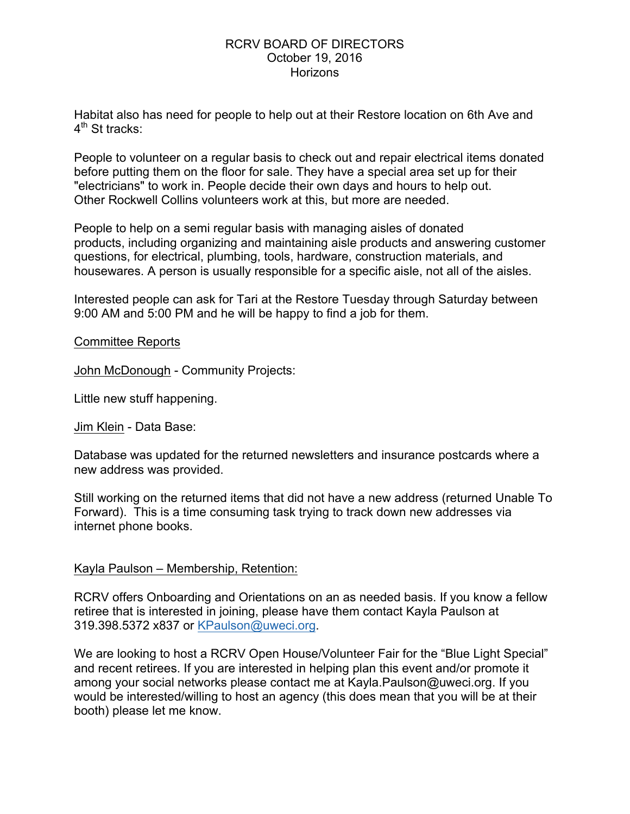Habitat also has need for people to help out at their Restore location on 6th Ave and  $4<sup>th</sup>$  St tracks:

People to volunteer on a regular basis to check out and repair electrical items donated before putting them on the floor for sale. They have a special area set up for their "electricians" to work in. People decide their own days and hours to help out. Other Rockwell Collins volunteers work at this, but more are needed.

People to help on a semi regular basis with managing aisles of donated products, including organizing and maintaining aisle products and answering customer questions, for electrical, plumbing, tools, hardware, construction materials, and housewares. A person is usually responsible for a specific aisle, not all of the aisles.

Interested people can ask for Tari at the Restore Tuesday through Saturday between 9:00 AM and 5:00 PM and he will be happy to find a job for them.

## Committee Reports

John McDonough - Community Projects:

Little new stuff happening.

Jim Klein - Data Base:

Database was updated for the returned newsletters and insurance postcards where a new address was provided.

Still working on the returned items that did not have a new address (returned Unable To Forward). This is a time consuming task trying to track down new addresses via internet phone books.

# Kayla Paulson – Membership, Retention:

RCRV offers Onboarding and Orientations on an as needed basis. If you know a fellow retiree that is interested in joining, please have them contact Kayla Paulson at 319.398.5372 x837 or KPaulson@uweci.org.

We are looking to host a RCRV Open House/Volunteer Fair for the "Blue Light Special" and recent retirees. If you are interested in helping plan this event and/or promote it among your social networks please contact me at Kayla.Paulson@uweci.org. If you would be interested/willing to host an agency (this does mean that you will be at their booth) please let me know.